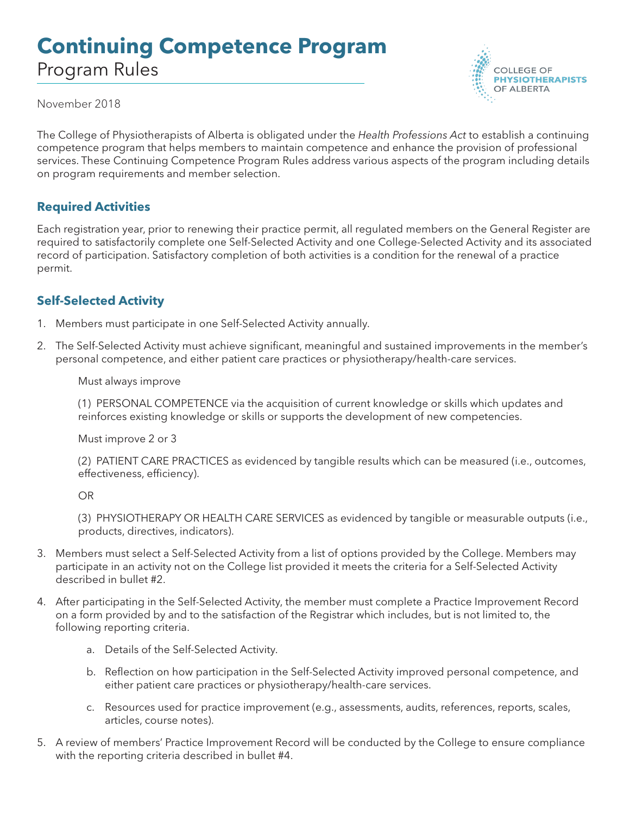# **Continuing Competence Program** Program Rules



November 2018

The College of Physiotherapists of Alberta is obligated under the *Health Professions Act* to establish a continuing competence program that helps members to maintain competence and enhance the provision of professional services. These Continuing Competence Program Rules address various aspects of the program including details on program requirements and member selection.

## **Required Activities**

Each registration year, prior to renewing their practice permit, all regulated members on the General Register are required to satisfactorily complete one Self-Selected Activity and one College-Selected Activity and its associated record of participation. Satisfactory completion of both activities is a condition for the renewal of a practice permit.

## **Self-Selected Activity**

- 1. Members must participate in one Self-Selected Activity annually.
- 2. The Self-Selected Activity must achieve significant, meaningful and sustained improvements in the member's personal competence, and either patient care practices or physiotherapy/health-care services.

Must always improve

(1) PERSONAL COMPETENCE via the acquisition of current knowledge or skills which updates and reinforces existing knowledge or skills or supports the development of new competencies.

Must improve 2 or 3

(2) PATIENT CARE PRACTICES as evidenced by tangible results which can be measured (i.e., outcomes, effectiveness, efficiency).

OR

(3) PHYSIOTHERAPY OR HEALTH CARE SERVICES as evidenced by tangible or measurable outputs (i.e., products, directives, indicators).

- 3. Members must select a Self-Selected Activity from a list of options provided by the College. Members may participate in an activity not on the College list provided it meets the criteria for a Self-Selected Activity described in bullet #2.
- 4. After participating in the Self-Selected Activity, the member must complete a Practice Improvement Record on a form provided by and to the satisfaction of the Registrar which includes, but is not limited to, the following reporting criteria.
	- a. Details of the Self-Selected Activity.
	- b. Reflection on how participation in the Self-Selected Activity improved personal competence, and either patient care practices or physiotherapy/health-care services.
	- c. Resources used for practice improvement (e.g., assessments, audits, references, reports, scales, articles, course notes).
- 5. A review of members' Practice Improvement Record will be conducted by the College to ensure compliance with the reporting criteria described in bullet #4.